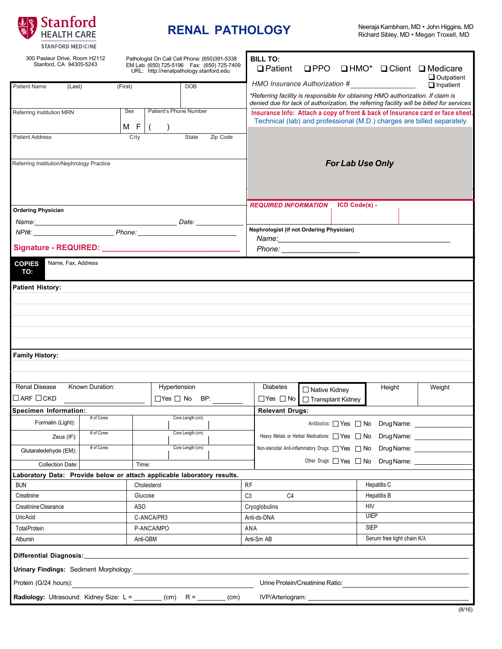

## **RENAL PATHOLOGY**

| 300 Pasteur Drive, Room H2112<br>Pathologist On Call Cell Phone: (650)391-5338<br>Stanford, CA 94305-5243<br>EM Lab: (650) 725-5196  Fax: (650) 725-7409<br>URL: http://renalpathology.stanford.edu                           |                 |                                      |                    | <b>BILL TO:</b><br>$\Box$ Patient |                                                                                                                                                                             |                      |               |                                                  | $\Box$ PPO $\Box$ HMO* $\Box$ Client $\Box$ Medicare |                                       |  |
|-------------------------------------------------------------------------------------------------------------------------------------------------------------------------------------------------------------------------------|-----------------|--------------------------------------|--------------------|-----------------------------------|-----------------------------------------------------------------------------------------------------------------------------------------------------------------------------|----------------------|---------------|--------------------------------------------------|------------------------------------------------------|---------------------------------------|--|
| <b>Patient Name</b><br>(Last)                                                                                                                                                                                                 | (First)         |                                      | <b>DOB</b>         |                                   | HMO Insurance Authorization #                                                                                                                                               |                      |               |                                                  |                                                      | $\Box$ Outpatient<br>$\Box$ Inpatient |  |
|                                                                                                                                                                                                                               |                 |                                      |                    |                                   | *Referring facility is responsible for obtaining HMO authorization. If claim is<br>denied due for lack of authorization, the referring facility will be billed for services |                      |               |                                                  |                                                      |                                       |  |
| Referring Institution MRN                                                                                                                                                                                                     |                 | Patient's Phone Number<br>Sex<br>M F |                    |                                   | Insurance Info: Attach a copy of front & back of Insurance card or face sheet.<br>Technical (lab) and professional (M.D.) charges are billed separately.                    |                      |               |                                                  |                                                      |                                       |  |
| <b>Patient Address</b>                                                                                                                                                                                                        |                 | $\left($<br>City                     | $\lambda$<br>State | Zip Code                          |                                                                                                                                                                             |                      |               |                                                  |                                                      |                                       |  |
|                                                                                                                                                                                                                               |                 |                                      |                    |                                   |                                                                                                                                                                             |                      |               |                                                  |                                                      |                                       |  |
| Referring Institution/Nephrology Practice                                                                                                                                                                                     |                 |                                      |                    |                                   | <b>For Lab Use Only</b>                                                                                                                                                     |                      |               |                                                  |                                                      |                                       |  |
| <b>Ordering Physician</b>                                                                                                                                                                                                     |                 |                                      |                    |                                   | <b>REQUIRED INFORMATION</b>                                                                                                                                                 |                      | ICD Code(s) - |                                                  |                                                      |                                       |  |
|                                                                                                                                                                                                                               |                 |                                      |                    |                                   |                                                                                                                                                                             |                      |               |                                                  |                                                      |                                       |  |
| Name: Date: Date: Date: Date: Date: Date: Date: Date: Date: Date: Date: Date: Date: Date: Date: Date: Date: Date: Date: Date: Date: Date: Date: Date: Date: Date: Date: Date: Date: Date: Date: Date: Date: Date: Date: Date: |                 |                                      |                    |                                   | Nephrologist (if not Ordering Physician)                                                                                                                                    |                      |               |                                                  |                                                      |                                       |  |
|                                                                                                                                                                                                                               |                 |                                      |                    |                                   |                                                                                                                                                                             |                      |               |                                                  |                                                      |                                       |  |
|                                                                                                                                                                                                                               |                 |                                      |                    |                                   | Phone: ______________________                                                                                                                                               |                      |               |                                                  |                                                      |                                       |  |
| <b>COPIES</b><br>Name, Fax, Address<br>TO:                                                                                                                                                                                    |                 |                                      |                    |                                   |                                                                                                                                                                             |                      |               |                                                  |                                                      |                                       |  |
| <b>Patient History:</b>                                                                                                                                                                                                       |                 |                                      |                    |                                   |                                                                                                                                                                             |                      |               |                                                  |                                                      |                                       |  |
|                                                                                                                                                                                                                               |                 |                                      |                    |                                   |                                                                                                                                                                             |                      |               |                                                  |                                                      |                                       |  |
|                                                                                                                                                                                                                               |                 |                                      |                    |                                   |                                                                                                                                                                             |                      |               |                                                  |                                                      |                                       |  |
|                                                                                                                                                                                                                               |                 |                                      |                    |                                   |                                                                                                                                                                             |                      |               |                                                  |                                                      |                                       |  |
|                                                                                                                                                                                                                               |                 |                                      |                    |                                   |                                                                                                                                                                             |                      |               |                                                  |                                                      |                                       |  |
|                                                                                                                                                                                                                               |                 |                                      |                    |                                   |                                                                                                                                                                             |                      |               |                                                  |                                                      |                                       |  |
| <b>Family History:</b>                                                                                                                                                                                                        |                 |                                      |                    |                                   |                                                                                                                                                                             |                      |               |                                                  |                                                      |                                       |  |
|                                                                                                                                                                                                                               |                 |                                      |                    |                                   |                                                                                                                                                                             |                      |               |                                                  |                                                      |                                       |  |
|                                                                                                                                                                                                                               |                 |                                      |                    |                                   |                                                                                                                                                                             |                      |               |                                                  |                                                      |                                       |  |
| <b>Renal Disease</b>                                                                                                                                                                                                          | Known Duration: | Hypertension                         |                    |                                   | <b>Diabetes</b>                                                                                                                                                             | $\Box$ Native Kidney |               | Height                                           |                                                      | Weight                                |  |
| $\Box$ ARF $\Box$ CKD                                                                                                                                                                                                         |                 | $\Box$ Yes $\Box$ No BP:             |                    |                                   | $\Box$ Yes $\Box$ No<br>□ Transplant Kidney                                                                                                                                 |                      |               |                                                  |                                                      |                                       |  |
| Specimen Information:                                                                                                                                                                                                         |                 |                                      |                    |                                   | <b>Relevant Drugs:</b>                                                                                                                                                      |                      |               |                                                  |                                                      |                                       |  |
| Formalin (Light):                                                                                                                                                                                                             | # of Cores      |                                      | Core Length (cm)   |                                   |                                                                                                                                                                             |                      |               | Antibiotics: Ves No Drug Name:                   |                                                      |                                       |  |
| Zeus (IF):                                                                                                                                                                                                                    | # of Cores      |                                      | Core Length (cm)   |                                   | Heavy Metals or Herbal Medications: Ves DNo Drug Name: _________________________                                                                                            |                      |               |                                                  |                                                      |                                       |  |
|                                                                                                                                                                                                                               | # of Cores      |                                      | Core Length (cm)   |                                   |                                                                                                                                                                             |                      |               |                                                  |                                                      |                                       |  |
| Glutaraledehyde (EM):                                                                                                                                                                                                         |                 |                                      |                    |                                   | Non-steroidal Anti-inflammatory Drugs: 78 Yes 7 No Drug Name:                                                                                                               |                      |               |                                                  |                                                      |                                       |  |
| <b>Collection Date:</b>                                                                                                                                                                                                       |                 | Time:                                |                    |                                   |                                                                                                                                                                             |                      |               | Other Drugs: Yes No Drug Name: Ves No Drug Name: |                                                      |                                       |  |
| Laboratory Data: Provide below or attach applicable laboratory results.                                                                                                                                                       |                 |                                      |                    |                                   |                                                                                                                                                                             |                      |               |                                                  |                                                      |                                       |  |
| <b>BUN</b>                                                                                                                                                                                                                    |                 | Cholesterol                          |                    |                                   | <b>RF</b>                                                                                                                                                                   |                      |               | Hepatitis C                                      |                                                      |                                       |  |
| Creatinine                                                                                                                                                                                                                    |                 | Glucose                              |                    |                                   | C <sub>3</sub><br>C <sub>4</sub>                                                                                                                                            |                      |               | Hepatitis B                                      |                                                      |                                       |  |
| Creatinine Clearance                                                                                                                                                                                                          |                 | ASO                                  |                    |                                   | Cryoglobulins                                                                                                                                                               |                      |               | <b>HIV</b><br><b>UIEP</b>                        |                                                      |                                       |  |
| <b>UricAcid</b>                                                                                                                                                                                                               |                 | C-ANCA/PR3                           |                    |                                   | Anti-ds-DNA                                                                                                                                                                 |                      |               |                                                  |                                                      |                                       |  |
| <b>Total Protein</b>                                                                                                                                                                                                          |                 | P-ANCA/MPO                           |                    |                                   | ANA                                                                                                                                                                         |                      |               | <b>SIEP</b>                                      |                                                      |                                       |  |
| Anti-GBM<br>Albumin                                                                                                                                                                                                           |                 |                                      |                    |                                   | Anti-Sm AB                                                                                                                                                                  |                      |               | Serum free light chain K/ $\lambda$              |                                                      |                                       |  |
| Differential Diagnosis:                                                                                                                                                                                                       |                 |                                      |                    |                                   |                                                                                                                                                                             |                      |               |                                                  |                                                      |                                       |  |
| <b>Urinary Findings: Sediment Morphology:</b>                                                                                                                                                                                 |                 |                                      |                    |                                   |                                                                                                                                                                             |                      |               |                                                  |                                                      |                                       |  |
| Protein (G/24 hours):<br>Urine Protein/Creatinine Ratio:                                                                                                                                                                      |                 |                                      |                    |                                   |                                                                                                                                                                             |                      |               |                                                  |                                                      |                                       |  |
| Radiology: Ultrasound: Kidney Size: L = ______ (cm) R = ______                                                                                                                                                                |                 |                                      |                    | (cm)                              | IVP/Arteriogram: _______________                                                                                                                                            |                      |               |                                                  |                                                      |                                       |  |